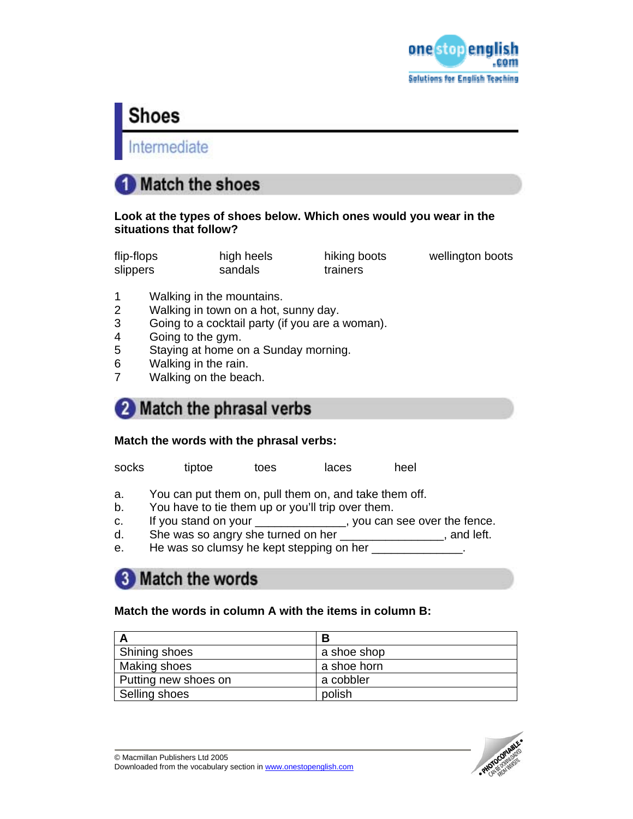

# **Shoes**

Intermediate

# **Match the shoes**

### **Look at the types of shoes below. Which ones would you wear in the situations that follow?**

| flip-flops | high heels | hiking boots | wellington boots |
|------------|------------|--------------|------------------|
| slippers   | sandals    | trainers     |                  |

- 1 Walking in the mountains.
- 2 Walking in town on a hot, sunny day.
- 3 Going to a cocktail party (if you are a woman).
- 4 Going to the gym.
- 5 Staying at home on a Sunday morning.
- 6 Walking in the rain.
- 7 Walking on the beach.

# 2 Match the phrasal verbs

## **Match the words with the phrasal verbs:**

socks tiptoe toes laces heel

- a. You can put them on, pull them on, and take them off.
- b. You have to tie them up or you'll trip over them.
- c. If you stand on your \_\_\_\_\_\_\_\_\_\_\_\_\_, you can see over the fence.
- d. She was so angry she turned on her \_\_\_\_\_\_\_\_\_\_\_\_\_\_\_\_, and left.
- e. He was so clumsy he kept stepping on her \_\_\_\_\_\_\_\_\_\_\_\_\_\_.

# **3** Match the words

## **Match the words in column A with the items in column B:**

|                      | В           |
|----------------------|-------------|
| Shining shoes        | a shoe shop |
| Making shoes         | a shoe horn |
| Putting new shoes on | a cobbler   |
| Selling shoes        | polish      |

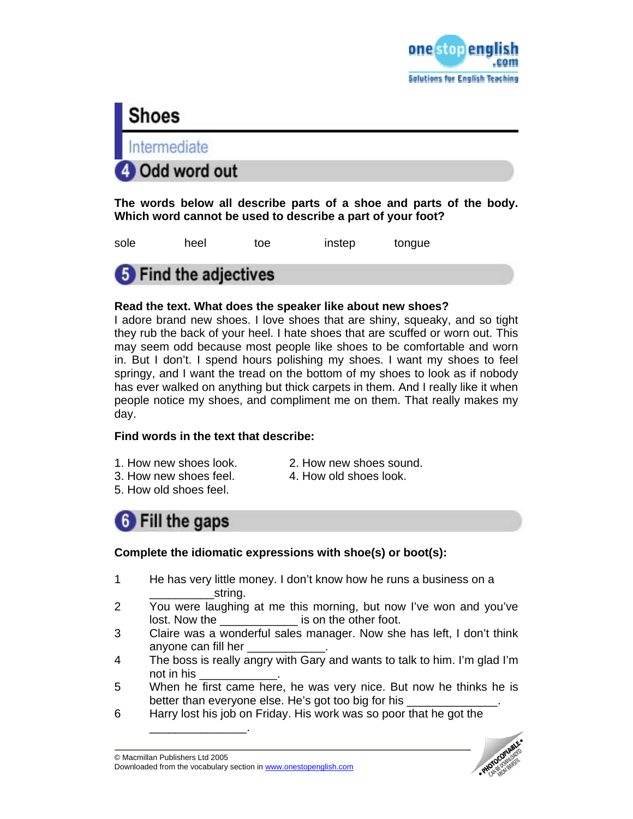



**The words below all describe parts of a shoe and parts of the body. Which word cannot be used to describe a part of your foot?** 

sole heel toe instep tongue



### **Read the text. What does the speaker like about new shoes?**

I adore brand new shoes. I love shoes that are shiny, squeaky, and so tight they rub the back of your heel. I hate shoes that are scuffed or worn out. This may seem odd because most people like shoes to be comfortable and worn in. But I don't. I spend hours polishing my shoes. I want my shoes to feel springy, and I want the tread on the bottom of my shoes to look as if nobody has ever walked on anything but thick carpets in them. And I really like it when people notice my shoes, and compliment me on them. That really makes my day.

### **Find words in the text that describe:**

- 
- 1. How new shoes look. 2. How new shoes sound.
- 3. How new shoes feel. 4. How old shoes look.
- 5. How old shoes feel.



### **Complete the idiomatic expressions with shoe(s) or boot(s):**

- 1 He has very little money. I don't know how he runs a business on a string.
- 2 You were laughing at me this morning, but now I've won and you've lost. Now the <u>equal container is</u> on the other foot.
- 3 Claire was a wonderful sales manager. Now she has left, I don't think anyone can fill her
- 4 The boss is really angry with Gary and wants to talk to him. I'm glad I'm not in his
- 5 When he first came here, he was very nice. But now he thinks he is better than everyone else. He's got too big for his
- 6 Harry lost his job on Friday. His work was so poor that he got the

\_\_\_\_\_\_\_\_\_\_\_\_\_\_\_.

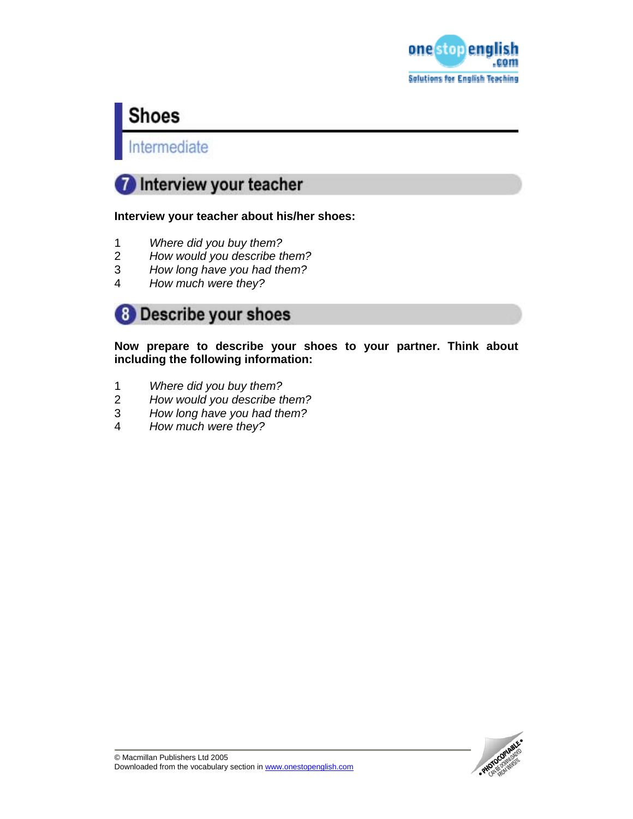

# **Shoes**

Intermediate

# Interview your teacher

### **Interview your teacher about his/her shoes:**

- 
- 1 *Where did you buy them?*  2 *How would you describe them?*
- 3 *How long have you had them?*
- 4 *How much were they?*



**Now prepare to describe your shoes to your partner. Think about including the following information:** 

- 1 *Where did you buy them?*
- 2 *How would you describe them?*
- 3 *How long have you had them?*
- 4 *How much were they?*